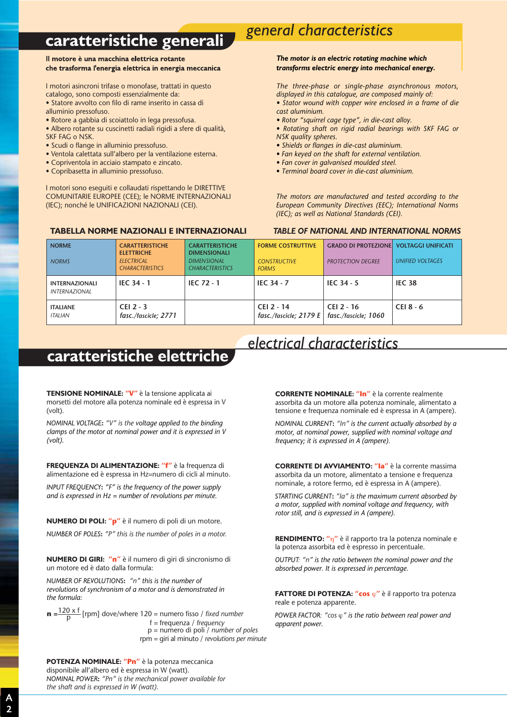# **caratteristiche generali** *general characteristics*

## Il motore è una macchina elettrica rotante che trasforma l'energia elettrica in energia meccanica

I motori asincroni trifase o monofase, trattati in questo catalogo, sono composti essenzialmente da:

- Statore avvolto con filo di rame inserito in cassa di alluminio pressofuso.
- Rotore a gabbia di scoiattolo in lega pressofusa.
- Albero rotante su cuscinetti radiali rigidi a sfere di qualità,
- SKF FAG o NSK.
- Scudi o flange in alluminio pressofuso.
- Ventola calettata sull'albero per la ventilazione esterna.
- Copriventola in acciaio stampato e zincato.
- Copribasetta in alluminio pressofuso.

I motori sono eseguiti e collaudati rispettando le DIRETTIVE COMUNITARIE EUROPEE (CEE); le NORME INTERNAZIONALI (IEC); nonché le UNIFICAZIONI NAZIONALI (CEI).

### **TABELLA NORME NAZIONALI E INTERNAZIONALI**

### *The motor is an electric rotating machine which transforms electric energy into mechanical energy.*

*The three-phase or single-phase asynchronous motors, displayed in this catalogue, are composed mainly of: • Stator wound with copper wire enclosed in a frame of die* 

*cast aluminium.*

- *Rotor "squirrel cage type", in die-cast alloy.*
- *Rotating shaft on rigid radial bearings with SKF FAG or NSK quality spheres.*
- *Shields or flanges in die-cast aluminium.*
- *Fan keyed on the shaft for external ventilation.*
- *Fan cover in galvanised moulded steel.*
- *Terminal board cover in die-cast aluminium.*

*The motors are manufactured and tested according to the European Community Directives (EEC); International Norms (IEC); as well as National Standards (CEI).*

*TABLE OF NATIONAL AND INTERNATIONAL NORMS*

| <b>NORME</b><br><b>NORMS</b>                  | <b>CARATTERISTICHE</b><br><b>ELETTRICHE</b><br><b>ELECTRICAL</b><br><b>CHARACTERISTICS</b> | <b>CARATTERISTICHE</b><br><b>DIMENSIONALI</b><br><b>DIMENSIONAL</b><br><b>CHARACTERISTICS</b> | <b>FORME COSTRUTTIVE</b><br><b>CONSTRUCTIVE</b><br><b>FORMS</b> | <b>GRADO DI PROTEZIONE VOLTAGGI UNIFICATI</b><br><b>PROTECTION DEGREE</b> | <b>UNIFIED VOLTAGES</b> |
|-----------------------------------------------|--------------------------------------------------------------------------------------------|-----------------------------------------------------------------------------------------------|-----------------------------------------------------------------|---------------------------------------------------------------------------|-------------------------|
| <b>INTERNAZIONALI</b><br><b>INTERNAZIONAL</b> | <b>IEC 34 - 1</b>                                                                          | <b>IEC 72 - 1</b>                                                                             | <b>IEC 34 - 7</b>                                               | IEC $34 - 5$                                                              | <b>IEC 38</b>           |
| <b>ITALIANE</b><br><b>ITALIAN</b>             | CEI 2 - $3$<br>fasc./fascicle; 2771                                                        |                                                                                               | CEI 2 - 14<br>fasc./fascicle: $2179 E$                          | CEI 2 - 16<br>fasc./fascicle: 1060                                        | CEI 8 - 6               |

## **caratteristiche elettriche**

**TENSIONE NOMINALE: "V"** è la tensione applicata ai morsetti del motore alla potenza nominale ed è espressa in V (volt).

*NOMINAL VOLTAGE***:** *"V" is the voltage applied to the binding clamps of the motor at nominal power and it is expressed in V (volt).*

**FREQUENZA DI ALIMENTAZIONE: "f"** è la frequenza di alimentazione ed è espressa in Hz=numero di cicli al minuto.

*INPUT FREQUENCY***:** *"F" is the frequency of the power supply and is expressed in Hz = number of revolutions per minute.*

**NUMERO DI POLI: "p"** è il numero di poli di un motore. *NUMBER OF POLES***:** *"P" this is the number of poles in a motor.*

**NUMERO DI GIRI: "n"** è il numero di giri di sincronismo di un motore ed è dato dalla formula:

*NUMBER OF REVOLUTIONS***:** *"n" this is the number of revolutions of synchronism of a motor and is demonstrated in the formula:*

**n** = $\frac{120 \times f}{p}$  [rpm] dove/where 120 = numero fisso / *fixed number* f = frequenza / *frequency* p = numero di poli / *number of poles* rpm = giri al minuto / *revolutions per minute*

**POTENZA NOMINALE: "Pn"** è la potenza meccanica disponibile all'albero ed è espressa in W (watt). *NOMINAL POWER***:** *"Pn" is the mechanical power available for the shaft and is expressed in W (watt).*

*electrical characteristics*

**CORRENTE NOMINALE: "In"** è la corrente realmente assorbita da un motore alla potenza nominale, alimentato a tensione e frequenza nominale ed è espressa in A (ampere).

*NOMINAL CURRENT***:** *"In" is the current actually absorbed by a motor, at nominal power, supplied with nominal voltage and frequency; it is expressed in A (ampere).*

**CORRENTE DI AVVIAMENTO: "Ia"** è la corrente massima assorbita da un motore, alimentato a tensione e frequenza nominale, a rotore fermo, ed è espressa in A (ampere).

*STARTING CURRENT***:** *"Ia" is the maximum current absorbed by a motor, supplied with nominal voltage and frequency, with rotor still, and is expressed in A (ampere).*

**RENDIMENTO: "**η**"** è il rapporto tra la potenza nominale e la potenza assorbita ed è espresso in percentuale.

*OUTPUT: "n" is the ratio between the nominal power and the absorbed power. It is expressed in percentage.*

**FATTORE DI POTENZA: "cos** ϕ**"** è il rapporto tra potenza reale e potenza apparente.

*POWER FACTOR: "cos* ϕ*" is the ratio between real power and apparent power.*

**4**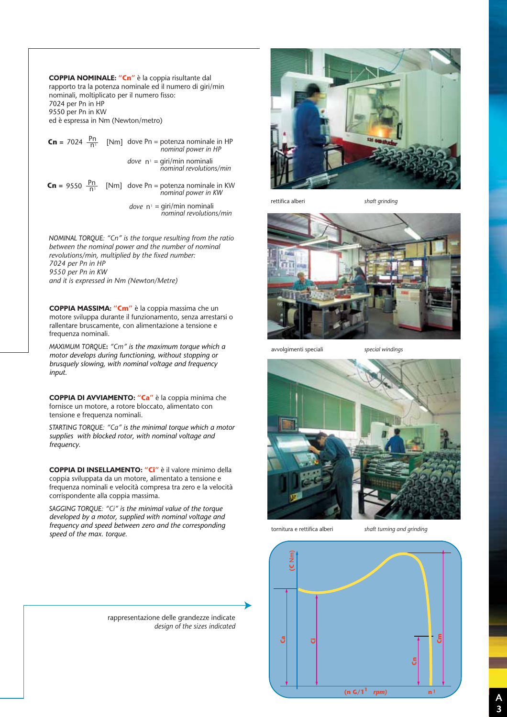**COPPIA NOMINALE: "Cn"** è la coppia risultante dal rapporto tra la potenza nominale ed il numero di giri/min nominali, moltiplicato per il numero fisso: 7024 per Pn in HP 9550 per Pn in KW ed è espressa in Nm (Newton/metro)

**Cn** = 7024  $\frac{Pn}{n!}$  [Nm] dove Pn = potenza nominale in HP *nominal power in HP*  = giri/min nominali *nominal revolutions/min dove* n1 **Cn** = 9550  $\frac{p_n}{n!}$  [Nm] dove Pn = potenza nominale in KW

*dove*  $n_1 = \frac{q_i}{n_1}$  = giri/min nominali<br>*nominal revolutions/min* 

*nominal power in KW*

*NOMINAL TORQUE: "Cn" is the torque resulting from the ratio between the nominal power and the number of nominal revolutions/min, multiplied by the fixed number: 7024 per Pn in HP 9550 per Pn in KW and it is expressed in Nm (Newton/Metre)*

**COPPIA MASSIMA: "Cm"** è la coppia massima che un motore sviluppa durante il funzionamento, senza arrestarsi o rallentare bruscamente, con alimentazione a tensione e frequenza nominali.

*MAXIMUM TORQUE***:** *"Cm" is the maximum torque which a motor develops during functioning, without stopping or brusquely slowing, with nominal voltage and frequency input.*

**COPPIA DI AVVIAMENTO: "Ca"** è la coppia minima che fornisce un motore, a rotore bloccato, alimentato con tensione e frequenza nominali.

*STARTING TORQUE: "Ca" is the minimal torque which a motor supplies with blocked rotor, with nominal voltage and frequency.*

**COPPIA DI INSELLAMENTO: "Ci"** è il valore minimo della coppia sviluppata da un motore, alimentato a tensione e frequenza nominali e velocità compresa tra zero e la velocità corrispondente alla coppia massima.

*SAGGING TORQUE: "Ci" is the minimal value of the torque developed by a motor, supplied with nominal voltage and frequency and speed between zero and the corresponding speed of the max. torque.*

rettifica alberi *shaft grinding*



avvolgimenti speciali *special windings*



tornitura e rettifica alberi *shaft turning and grinding*



rappresentazione delle grandezze indicate *design of the sizes indicated*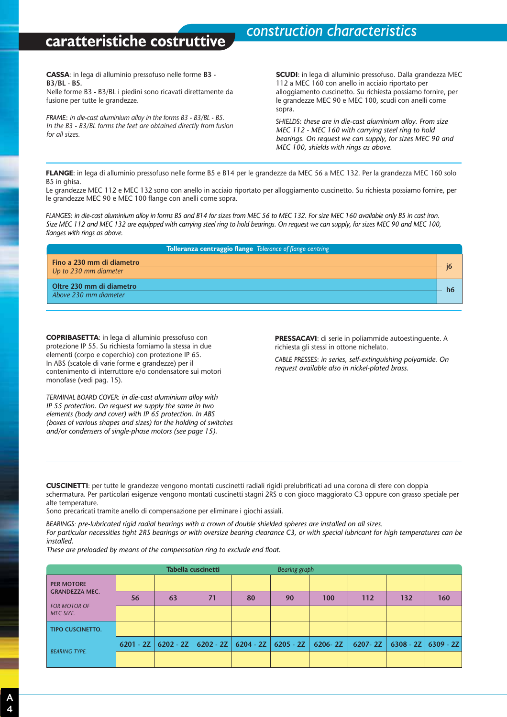## **caratteristiche costruttive** *construction characteristics*

**CASSA**: in lega di alluminio pressofuso nelle forme **B3 - B3/BL - B5.**

Nelle forme B3 - B3/BL i piedini sono ricavati direttamente da fusione per tutte le grandezze.

*FRAME*: *in die-cast aluminium alloy in the forms B3 - B3/BL - B5. In the B3 - B3/BL forms the feet are obtained directly from fusion for all sizes.*

**SCUDI**: in lega di alluminio pressofuso. Dalla grandezza MEC 112 a MEC 160 con anello in acciaio riportato per alloggiamento cuscinetto. Su richiesta possiamo fornire, per le grandezze MEC 90 e MEC 100, scudi con anelli come sopra.

*SHIELDS*: *these are in die-cast aluminium alloy. From size MEC 112 - MEC 160 with carrying steel ring to hold bearings. On request we can supply, for sizes MEC 90 and MEC 100, shields with rings as above.*

**FLANGE**: in lega di alluminio pressofuso nelle forme B5 e B14 per le grandezze da MEC 56 a MEC 132. Per la grandezza MEC 160 solo B5 in ghisa.

Le grandezze MEC 112 e MEC 132 sono con anello in acciaio riportato per alloggiamento cuscinetto. Su richiesta possiamo fornire, per le grandezze MEC 90 e MEC 100 flange con anelli come sopra.

*FLANGES*: *in die-cast aluminium alloy in forms B5 and B14 for sizes from MEC 56 to MEC 132. For size MEC 160 available only B5 in cast iron. Size MEC 112 and MEC 132 are equipped with carrying steel ring to hold bearings. On request we can supply, for sizes MEC 90 and MEC 100, flanges with rings as above.*

| Tolleranza centraggio flange Tolerance of flange centring |             |
|-----------------------------------------------------------|-------------|
| Fino a 230 mm di diametro                                 |             |
| Up to 230 mm diameter                                     |             |
| Oltre 230 mm di diametro                                  | $h\epsilon$ |
| Above 230 mm diameter                                     |             |

**COPRIBASETTA**: in lega di alluminio pressofuso con protezione IP 55. Su richiesta forniamo la stessa in due elementi (corpo e coperchio) con protezione IP 65. In ABS (scatole di varie forme e grandezze) per il contenimento di interruttore e/o condensatore sui motori monofase (vedi pag. 15).

*TERMINAL BOARD COVER: in die-cast aluminium alloy with IP 55 protection. On request we supply the same in two elements (body and cover) with IP 65 protection. In ABS (boxes of various shapes and sizes) for the holding of switches and/or condensers of single-phase motors (see page 15).*

**PRESSACAVI**: di serie in poliammide autoestinguente. A richiesta gli stessi in ottone nichelato.

*CABLE PRESSES*: *in series, self-extinguishing polyamide. On request available also in nickel-plated brass.*

**CUSCINETTI**: per tutte le grandezze vengono montati cuscinetti radiali rigidi prelubrificati ad una corona di sfere con doppia schermatura. Per particolari esigenze vengono montati cuscinetti stagni 2RS o con gioco maggiorato C3 oppure con grasso speciale per alte temperature.

Sono precaricati tramite anello di compensazione per eliminare i giochi assiali.

*BEARINGS: pre-lubricated rigid radial bearings with a crown of double shielded spheres are installed on all sizes. For particular necessities tight 2RS bearings or with oversize bearing clearance C3, or with special lubricant for high temperatures can be installed.*

*These are preloaded by means of the compensation ring to exclude end float.*

|                           |    |                       | Tabella cuscinetti |                                         | <b>Bearing graph</b> |             |             |     |                           |
|---------------------------|----|-----------------------|--------------------|-----------------------------------------|----------------------|-------------|-------------|-----|---------------------------|
| <b>PER MOTORE</b>         |    |                       |                    |                                         |                      |             |             |     |                           |
| <b>GRANDEZZA MEC.</b>     | 56 | 63                    | 71                 | 80                                      | 90                   | 100         | 112         | 132 | 160                       |
| FOR MOTOR OF<br>MEC SIZE. |    |                       |                    |                                         |                      |             |             |     |                           |
| <b>TIPO CUSCINETTO.</b>   |    |                       |                    |                                         |                      |             |             |     |                           |
| <b>BEARING TYPE.</b>      |    | $6201 - 2Z$ 6202 - 2Z |                    | $6202 - 2Z$   $6204 - 2Z$   $6205 - 2Z$ |                      | $6206 - 2Z$ | $6207 - 2Z$ |     | $6308 - 2Z$   $6309 - 2Z$ |
|                           |    |                       |                    |                                         |                      |             |             |     |                           |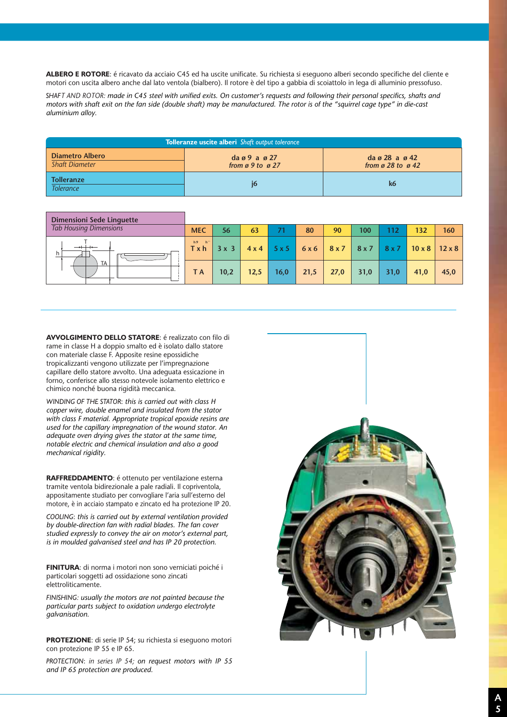**ALBERO E ROTORE**: é ricavato da acciaio C45 ed ha uscite unificate. Su richiesta si eseguono alberi secondo specifiche del cliente e motori con uscita albero anche dal lato ventola (bialbero). Il rotore è del tipo a gabbia di scoiattolo in lega di alluminio pressofuso.

*SHAFT AND ROTOR: made in C45 steel with unified exits. On customer's requests and following their personal specifics, shafts and motors with shaft exit on the fan side (double shaft) may be manufactured. The rotor is of the "squirrel cage type" in die-cast aluminium alloy.*

| <b>Tolleranze uscite alberi</b> Shaft output tolerance |                                                   |                                                                           |  |  |  |  |  |
|--------------------------------------------------------|---------------------------------------------------|---------------------------------------------------------------------------|--|--|--|--|--|
| <b>Diametro Albero</b><br><b>Shaft Diameter</b>        | $diag9$ a $g27$<br>from $\alpha$ 9 to $\alpha$ 27 | $da \varnothing 28$ a $\varnothing 42$<br>from $\alpha$ 28 to $\alpha$ 42 |  |  |  |  |  |
| <b>Tolleranze</b><br><b>Tolerance</b>                  |                                                   | k6                                                                        |  |  |  |  |  |

| <b>Dimensioni Sede Linguette</b> |                              |      |              |              |      |      |      |      |               |               |
|----------------------------------|------------------------------|------|--------------|--------------|------|------|------|------|---------------|---------------|
| <b>Tab Housing Dimensions</b>    | <b>MEC</b>                   | 56   | 63           | 71           | 80   | 90   | 100  | 112  | 132           | 160           |
| h.                               | h''<br>h9<br>Tx <sub>h</sub> | 3x3  | $4 \times 4$ | $5 \times 5$ | 6x6  | 8x7  | 8x7  | 8x7  | $10 \times 8$ | $12 \times 8$ |
| <b>TA</b>                        | T A                          | 10,2 | 12,5         | 16,0         | 21,5 | 27,0 | 31,0 | 31,0 | 41,0          | 45,0          |

**AVVOLGIMENTO DELLO STATORE**: é realizzato con filo di rame in classe H a doppio smalto ed è isolato dallo statore con materiale classe F. Apposite resine epossidiche tropicalizzanti vengono utilizzate per l'impregnazione capillare dello statore avvolto. Una adeguata essicazione in forno, conferisce allo stesso notevole isolamento elettrico e chimico nonché buona rigidità meccanica.

*WINDING OF THE STATOR*: *this is carried out with class H copper wire, double enamel and insulated from the stator with class F material. Appropriate tropical epoxide resins are used for the capillary impregnation of the wound stator. An adequate oven drying gives the stator at the same time, notable electric and chemical insulation and also a good mechanical rigidity.*

**RAFFREDDAMENTO**: é ottenuto per ventilazione esterna tramite ventola bidirezionale a pale radiali. Il copriventola, appositamente studiato per convogliare l'aria sull'esterno del motore, è in acciaio stampato e zincato ed ha protezione IP 20.

*COOLING*: *this is carried out by external ventilation provided by double-direction fan with radial blades. The fan cover studied expressly to convey the air on motor's external part, is in moulded galvanised steel and has IP 20 protection.*

**FINITURA**: di norma i motori non sono verniciati poiché i particolari soggetti ad ossidazione sono zincati elettroliticamente.

*FINISHING: usually the motors are not painted because the particular parts subject to oxidation undergo electrolyte galvanisation.*

**PROTEZIONE**: di serie IP 54; su richiesta si eseguono motori con protezione IP 55 e IP 65.

*PROTECTION*: *in series IP 54; on request motors with IP 55 and IP 65 protection are produced.*

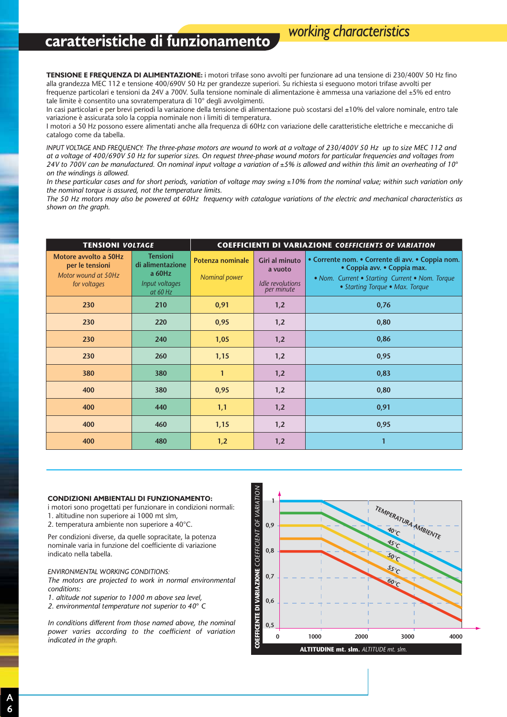## **caratteristiche di funzionamento** *working characteristics*

**TENSIONE E FREQUENZA DI ALIMENTAZIONE:** i motori trifase sono avvolti per funzionare ad una tensione di 230/400V 50 Hz fino alla grandezza MEC 112 e tensione 400/690V 50 Hz per grandezze superiori. Su richiesta si eseguono motori trifase avvolti per frequenze particolari e tensioni da 24V a 700V. Sulla tensione nominale di alimentazione è ammessa una variazione del ±5% ed entro tale limite è consentito una sovratemperatura di 10° degli avvolgimenti.

In casi particolari e per brevi periodi la variazione della tensione di alimentazione può scostarsi del ±10% del valore nominale, entro tale variazione è assicurata solo la coppia nominale non i limiti di temperatura.

I motori a 50 Hz possono essere alimentati anche alla frequenza di 60Hz con variazione delle caratteristiche elettriche e meccaniche di catalogo come da tabella.

*INPUT VOLTAGE AND FREQUENCY: The three-phase motors are wound to work at a voltage of 230/400V 50 Hz up to size MEC 112 and at a voltage of 400/690V 50 Hz for superior sizes. On request three-phase wound motors for particular frequencies and voltages from*  24V to 700V can be manufactured. On nominal input voltage a variation of ±5% is allowed and within this limit an overheating of 10° *on the windings is allowed.*

*In these particular cases and for short periods, variation of voltage may swing ±10% from the nominal value; within such variation only the nominal torque is assured, not the temperature limits.*

*The 50 Hz motors may also be powered at 60Hz frequency with catalogue variations of the electric and mechanical characteristics as shown on the graph.*

| <b>TENSIONI VOLTAGE</b>                                                         |                                                                             | <b>COEFFICIENTI DI VARIAZIONE COEFFICIENTS OF VARIATION</b> |                                                             |                                                                                                                                                                       |  |  |
|---------------------------------------------------------------------------------|-----------------------------------------------------------------------------|-------------------------------------------------------------|-------------------------------------------------------------|-----------------------------------------------------------------------------------------------------------------------------------------------------------------------|--|--|
| Motore avvolto a 50Hz<br>per le tensioni<br>Motor wound at 50Hz<br>for voltages | <b>Tensioni</b><br>di alimentazione<br>a 60Hz<br>Input voltages<br>at 60 Hz | <b>Potenza nominale</b><br>Nominal power                    | Giri al minuto<br>a vuoto<br>Idle revolutions<br>per minute | • Corrente nom. • Corrente di avv. • Coppia nom.<br>• Coppia avv. • Coppia max.<br>• Nom. Current • Starting Current • Nom. Torque<br>• Starting Torque • Max. Torque |  |  |
| 230                                                                             | 210                                                                         | 0,91                                                        | 1,2                                                         | 0,76                                                                                                                                                                  |  |  |
| 230                                                                             | 220                                                                         | 0,95                                                        | 1,2                                                         | 0,80                                                                                                                                                                  |  |  |
| 230                                                                             | 240                                                                         | 1,05                                                        | 1,2                                                         | 0,86                                                                                                                                                                  |  |  |
| 230                                                                             | 260                                                                         | 1,15                                                        | 1,2                                                         | 0,95                                                                                                                                                                  |  |  |
| 380                                                                             | 380                                                                         | $\mathbf{1}$                                                | 1,2                                                         | 0,83                                                                                                                                                                  |  |  |
| 400                                                                             | 380                                                                         | 0,95                                                        | 1,2                                                         | 0,80                                                                                                                                                                  |  |  |
| 400                                                                             | 440                                                                         | 1,1                                                         | 1,2                                                         | 0,91                                                                                                                                                                  |  |  |
| 400                                                                             | 460                                                                         | 1,15                                                        | 1,2                                                         | 0,95                                                                                                                                                                  |  |  |
| 400                                                                             | 480                                                                         | 1,2                                                         | 1,2                                                         | $\mathbf{1}$                                                                                                                                                          |  |  |

#### **CONDIZIONI AMBIENTALI DI FUNZIONAMENTO:**

i motori sono progettati per funzionare in condizioni normali: 1. altitudine non superiore ai 1000 mt slm,

2. temperatura ambiente non superiore a 40°C.

Per condizioni diverse, da quelle sopracitate, la potenza nominale varia in funzione del coefficiente di variazione indicato nella tabella.

*ENVIRONMENTAL WORKING CONDITIONS:*

*The motors are projected to work in normal environmental conditions:*

*1. altitude not superior to 1000 m above sea level,*

*2. environmental temperature not superior to 40*° *C*

*In conditions different from those named above, the nominal power varies according to the coefficient of variation indicated in the graph.*